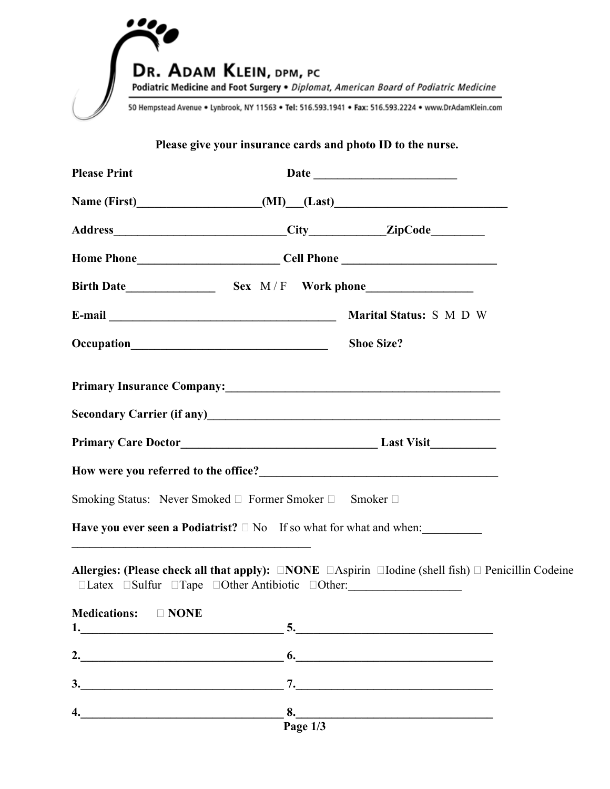

## **Please give your insurance cards and photo ID to the nurse.**

| <b>Please Print</b>                                                          |                  |                                                                                                                                                                                                                                |  |
|------------------------------------------------------------------------------|------------------|--------------------------------------------------------------------------------------------------------------------------------------------------------------------------------------------------------------------------------|--|
|                                                                              |                  | Name (First) (MI) (Last)                                                                                                                                                                                                       |  |
|                                                                              |                  |                                                                                                                                                                                                                                |  |
|                                                                              |                  | Home Phone_______________________________Cell Phone ____________________________                                                                                                                                               |  |
|                                                                              |                  |                                                                                                                                                                                                                                |  |
|                                                                              |                  | Marital Status: S M D W                                                                                                                                                                                                        |  |
|                                                                              |                  | <b>Shoe Size?</b>                                                                                                                                                                                                              |  |
|                                                                              |                  | Primary Insurance Company: No. 1997. The Company of the Company of the Company of the Company of the Company of the Company of the Company of the Company of the Company of the Company of the Company of the Company of the C |  |
|                                                                              |                  | Secondary Carrier (if any)<br><u>Secondary Carrier (if any)</u>                                                                                                                                                                |  |
|                                                                              |                  |                                                                                                                                                                                                                                |  |
|                                                                              |                  |                                                                                                                                                                                                                                |  |
| Smoking Status: Never Smoked □ Former Smoker □ Smoker □                      |                  |                                                                                                                                                                                                                                |  |
|                                                                              |                  | Have you ever seen a Podiatrist? $\square$ No If so what for what and when:                                                                                                                                                    |  |
| $\Box$ Latex $\Box$ Sulfur $\Box$ Tape $\Box$ Other Antibiotic $\Box$ Other: |                  | Allergies: (Please check all that apply): $\Box$ <b>NOTE</b> $\Box$ <b>Aspirin</b> $\Box$ <b>Iodine</b> (shell fish) $\Box$ <b>Penicillin Codeine</b>                                                                          |  |
| Medications: DNONE                                                           |                  | $1.$ $5.$ $5.$                                                                                                                                                                                                                 |  |
|                                                                              |                  | $\overline{\phantom{a}}$                                                                                                                                                                                                       |  |
| 3.<br><u> 1980 - Jan Samuel Barbara, margaret eta idazlea (h. 1980).</u>     |                  | 7.                                                                                                                                                                                                                             |  |
| 4.                                                                           | 8.<br>Page $1/3$ | <u> 1989 - Johann Barn, amerikansk politiker (d. 1989)</u>                                                                                                                                                                     |  |
|                                                                              |                  |                                                                                                                                                                                                                                |  |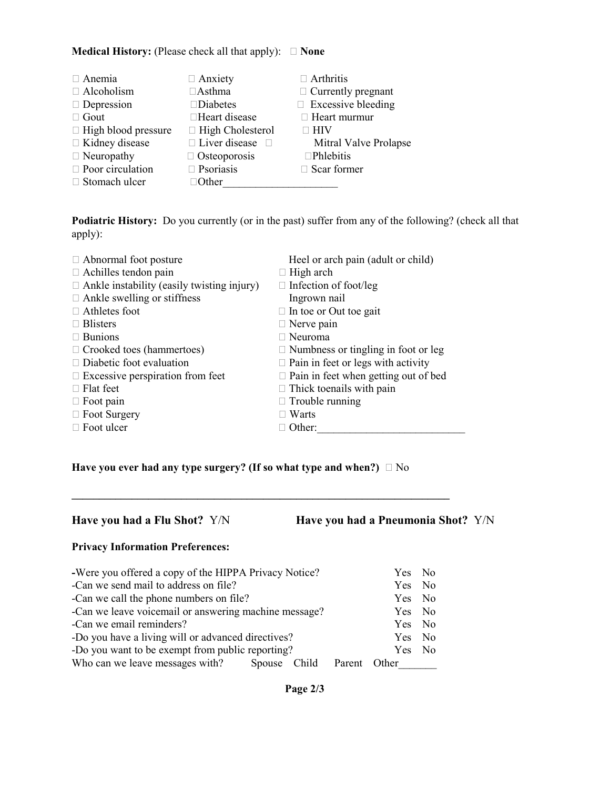### **Medical History:** (Please check all that apply):  $\Box$  **None**

| $\Box$ Anemia              | $\Box$ Anxiety          | $\Box$ Arthritis          |
|----------------------------|-------------------------|---------------------------|
| $\Box$ Alcoholism          | $\Box$ Asthma           | $\Box$ Currently pregnant |
| $\Box$ Depression          | $\square$ Diabetes      | $\Box$ Excessive bleeding |
| $\Box$ Gout                | □Heart disease          | $\Box$ Heart murmur       |
| $\Box$ High blood pressure | $\Box$ High Cholesterol | <b>HIV</b>                |
| □ Kidney disease           | □ Liver disease         | Mitral Valve Prolapse     |
| $\Box$ Neuropathy          | $\Box$ Osteoporosis     | $\Box$ Phlebitis          |
| $\Box$ Poor circulation    | $\Box$ Psoriasis        | $\Box$ Scar former        |
| $\Box$ Stomach ulcer       | Other                   |                           |

**Podiatric History:** Do you currently (or in the past) suffer from any of the following? (check all that apply):

| $\Box$ Abnormal foot posture                      | Heel or arch pain (adult or child)          |
|---------------------------------------------------|---------------------------------------------|
| $\Box$ Achilles tendon pain                       | $\Box$ High arch                            |
| $\Box$ Ankle instability (easily twisting injury) | $\Box$ Infection of foot/leg                |
| $\Box$ Ankle swelling or stiffness                | Ingrown nail                                |
| $\Box$ Athletes foot                              | $\Box$ In toe or Out toe gait               |
| $\Box$ Blisters                                   | $\Box$ Nerve pain                           |
| $\Box$ Bunions                                    | $\Box$ Neuroma                              |
| $\Box$ Crooked toes (hammertoes)                  | $\Box$ Numbness or tingling in foot or leg  |
| $\Box$ Diabetic foot evaluation                   | $\Box$ Pain in feet or legs with activity   |
| $\Box$ Excessive perspiration from feet           | $\Box$ Pain in feet when getting out of bed |
| $\Box$ Flat feet                                  | $\Box$ Thick toenails with pain             |
| $\Box$ Foot pain                                  | $\Box$ Trouble running                      |
| $\Box$ Foot Surgery                               | Warts                                       |
| $\Box$ Foot ulcer                                 | Other:                                      |
|                                                   |                                             |

**Have you ever had any type surgery? (If so what type and when?)**  $\Box$  No

**Have you had a Flu Shot?** Y/N **Have you had a Pneumonia Shot?** Y/N

### **Privacy Information Preferences:**

| -Were you offered a copy of the HIPPA Privacy Notice? |  |  | Yes No       |        |  |
|-------------------------------------------------------|--|--|--------------|--------|--|
| -Can we send mail to address on file?                 |  |  |              | Yes No |  |
| -Can we call the phone numbers on file?               |  |  |              | Yes No |  |
| -Can we leave voicemail or answering machine message? |  |  | Yes No       |        |  |
| -Can we email reminders?                              |  |  |              | Yes No |  |
| -Do you have a living will or advanced directives?    |  |  | Yes No       |        |  |
| -Do you want to be exempt from public reporting?      |  |  | Yes No       |        |  |
| Who can we leave messages with? Spouse Child          |  |  | Parent Other |        |  |